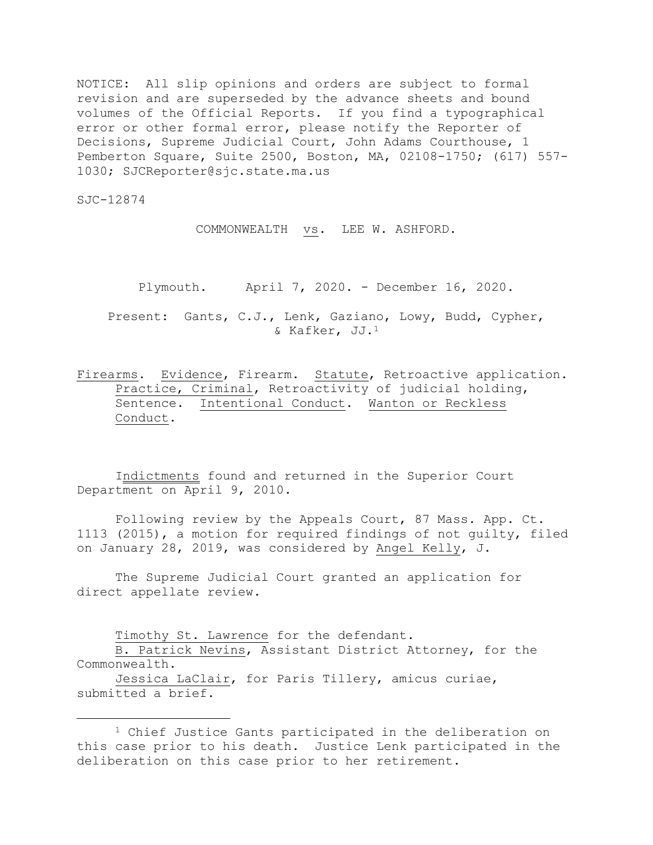NOTICE: All slip opinions and orders are subject to formal revision and are superseded by the advance sheets and bound volumes of the Official Reports. If you find a typographical error or other formal error, please notify the Reporter of Decisions, Supreme Judicial Court, John Adams Courthouse, 1 Pemberton Square, Suite 2500, Boston, MA, 02108-1750; (617) 557- 1030; SJCReporter@sjc.state.ma.us

SJC-12874

i<br>L

COMMONWEALTH vs. LEE W. ASHFORD.

Plymouth. April 7, 2020. - December 16, 2020.

Present: Gants, C.J., Lenk, Gaziano, Lowy, Budd, Cypher, & Kafker, JJ.<sup>1</sup>

Firearms. Evidence, Firearm. Statute, Retroactive application. Practice, Criminal, Retroactivity of judicial holding, Sentence. Intentional Conduct. Wanton or Reckless Conduct.

Indictments found and returned in the Superior Court Department on April 9, 2010.

Following review by the Appeals Court, 87 Mass. App. Ct. 1113 (2015), a motion for required findings of not guilty, filed on January 28, 2019, was considered by Angel Kelly, J.

The Supreme Judicial Court granted an application for direct appellate review.

Timothy St. Lawrence for the defendant.

B. Patrick Nevins, Assistant District Attorney, for the Commonwealth.

Jessica LaClair, for Paris Tillery, amicus curiae, submitted a brief.

<sup>1</sup> Chief Justice Gants participated in the deliberation on this case prior to his death. Justice Lenk participated in the deliberation on this case prior to her retirement.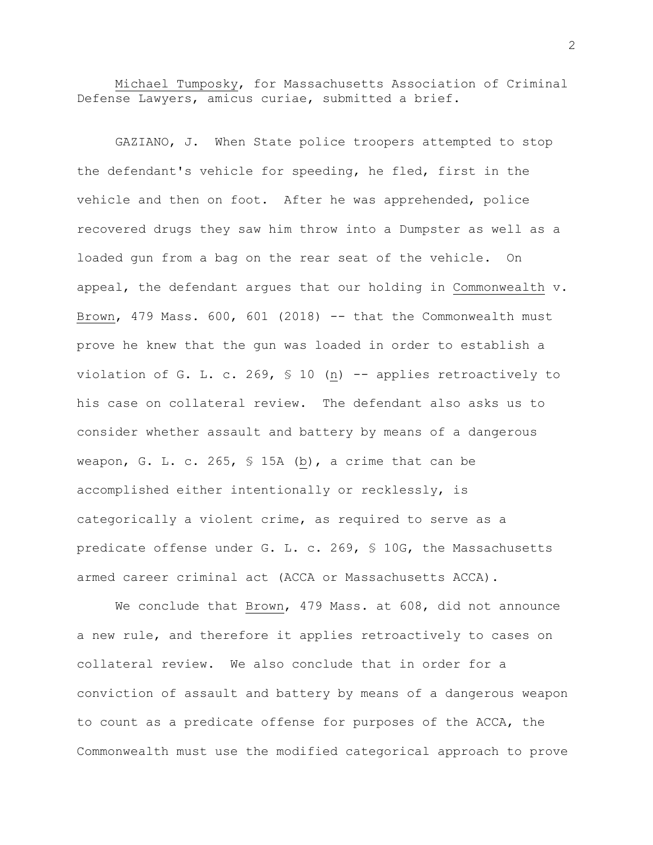Michael Tumposky, for Massachusetts Association of Criminal Defense Lawyers, amicus curiae, submitted a brief.

GAZIANO, J. When State police troopers attempted to stop the defendant's vehicle for speeding, he fled, first in the vehicle and then on foot. After he was apprehended, police recovered drugs they saw him throw into a Dumpster as well as a loaded gun from a bag on the rear seat of the vehicle. On appeal, the defendant argues that our holding in Commonwealth v. Brown, 479 Mass.  $600$ ,  $601$  (2018) -- that the Commonwealth must prove he knew that the gun was loaded in order to establish a violation of G. L. c. 269, § 10 (n) -- applies retroactively to his case on collateral review. The defendant also asks us to consider whether assault and battery by means of a dangerous weapon, G. L. c. 265, § 15A (b), a crime that can be accomplished either intentionally or recklessly, is categorically a violent crime, as required to serve as a predicate offense under G. L. c. 269, § 10G, the Massachusetts armed career criminal act (ACCA or Massachusetts ACCA).

We conclude that Brown, 479 Mass. at 608, did not announce a new rule, and therefore it applies retroactively to cases on collateral review. We also conclude that in order for a conviction of assault and battery by means of a dangerous weapon to count as a predicate offense for purposes of the ACCA, the Commonwealth must use the modified categorical approach to prove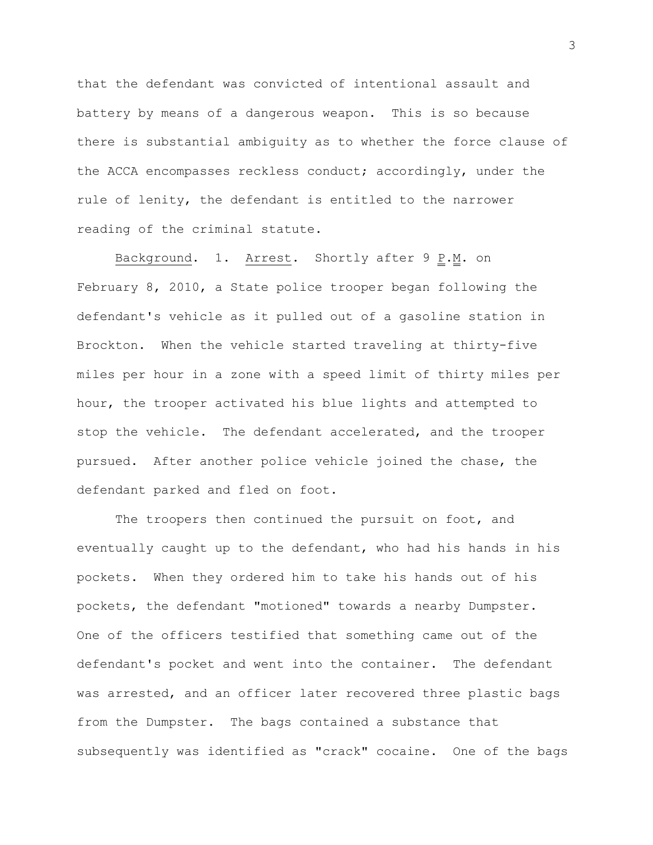that the defendant was convicted of intentional assault and battery by means of a dangerous weapon. This is so because there is substantial ambiguity as to whether the force clause of the ACCA encompasses reckless conduct; accordingly, under the rule of lenity, the defendant is entitled to the narrower reading of the criminal statute.

Background. 1. Arrest. Shortly after  $9 \underline{P.M.}$  on February 8, 2010, a State police trooper began following the defendant's vehicle as it pulled out of a gasoline station in Brockton. When the vehicle started traveling at thirty-five miles per hour in a zone with a speed limit of thirty miles per hour, the trooper activated his blue lights and attempted to stop the vehicle. The defendant accelerated, and the trooper pursued. After another police vehicle joined the chase, the defendant parked and fled on foot.

The troopers then continued the pursuit on foot, and eventually caught up to the defendant, who had his hands in his pockets. When they ordered him to take his hands out of his pockets, the defendant "motioned" towards a nearby Dumpster. One of the officers testified that something came out of the defendant's pocket and went into the container. The defendant was arrested, and an officer later recovered three plastic bags from the Dumpster. The bags contained a substance that subsequently was identified as "crack" cocaine. One of the bags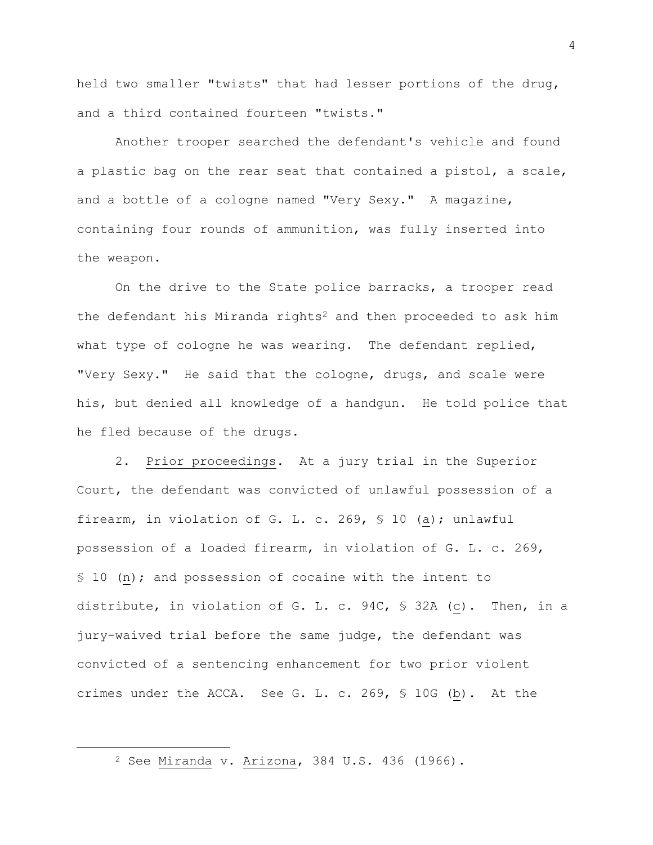held two smaller "twists" that had lesser portions of the drug, and a third contained fourteen "twists."

Another trooper searched the defendant's vehicle and found a plastic bag on the rear seat that contained a pistol, a scale, and a bottle of a cologne named "Very Sexy." A magazine, containing four rounds of ammunition, was fully inserted into the weapon.

On the drive to the State police barracks, a trooper read the defendant his Miranda rights<sup>2</sup> and then proceeded to ask him what type of cologne he was wearing. The defendant replied, "Very Sexy." He said that the cologne, drugs, and scale were his, but denied all knowledge of a handgun. He told police that he fled because of the drugs.

2. Prior proceedings. At a jury trial in the Superior Court, the defendant was convicted of unlawful possession of a firearm, in violation of G. L. c. 269, § 10 (a); unlawful possession of a loaded firearm, in violation of G. L. c. 269, § 10 (n); and possession of cocaine with the intent to distribute, in violation of G. L. c. 94C, § 32A (c). Then, in a jury-waived trial before the same judge, the defendant was convicted of a sentencing enhancement for two prior violent crimes under the ACCA. See G. L. c. 269, § 10G (b). At the

i<br>L

<sup>2</sup> See Miranda v. Arizona, 384 U.S. 436 (1966).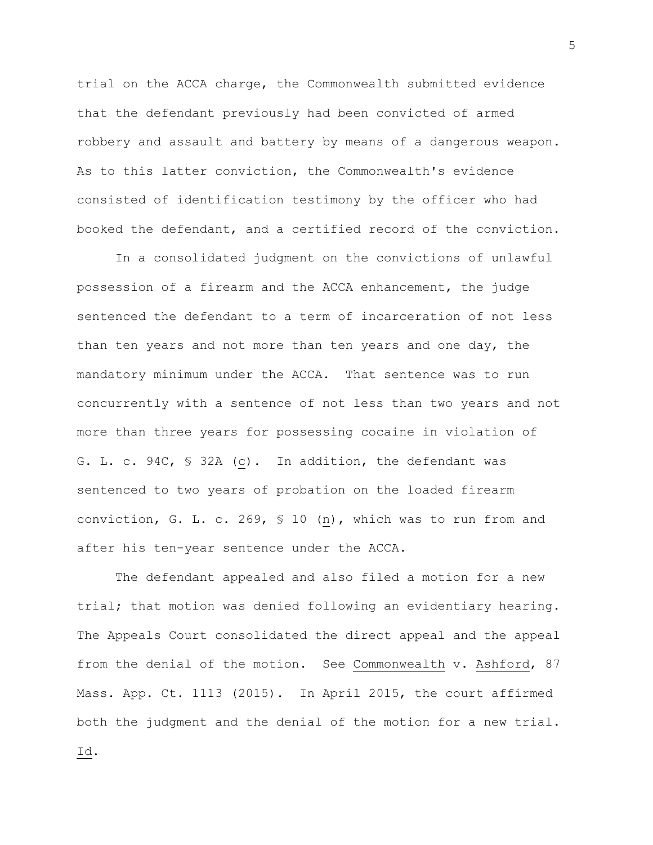trial on the ACCA charge, the Commonwealth submitted evidence that the defendant previously had been convicted of armed robbery and assault and battery by means of a dangerous weapon. As to this latter conviction, the Commonwealth's evidence consisted of identification testimony by the officer who had booked the defendant, and a certified record of the conviction.

In a consolidated judgment on the convictions of unlawful possession of a firearm and the ACCA enhancement, the judge sentenced the defendant to a term of incarceration of not less than ten years and not more than ten years and one day, the mandatory minimum under the ACCA. That sentence was to run concurrently with a sentence of not less than two years and not more than three years for possessing cocaine in violation of G. L. c. 94C, § 32A (c). In addition, the defendant was sentenced to two years of probation on the loaded firearm conviction, G. L. c. 269, § 10 (n), which was to run from and after his ten-year sentence under the ACCA.

The defendant appealed and also filed a motion for a new trial; that motion was denied following an evidentiary hearing. The Appeals Court consolidated the direct appeal and the appeal from the denial of the motion. See Commonwealth v. Ashford, 87 Mass. App. Ct. 1113 (2015). In April 2015, the court affirmed both the judgment and the denial of the motion for a new trial. Id.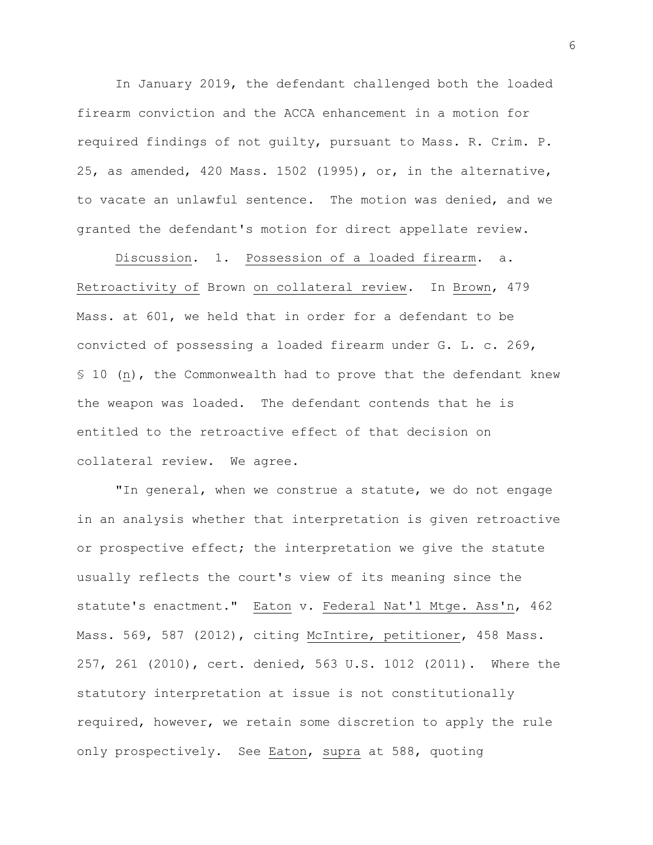In January 2019, the defendant challenged both the loaded firearm conviction and the ACCA enhancement in a motion for required findings of not guilty, pursuant to Mass. R. Crim. P. 25, as amended, 420 Mass. 1502 (1995), or, in the alternative, to vacate an unlawful sentence. The motion was denied, and we granted the defendant's motion for direct appellate review.

Discussion. 1. Possession of a loaded firearm. a. Retroactivity of Brown on collateral review. In Brown, 479 Mass. at 601, we held that in order for a defendant to be convicted of possessing a loaded firearm under G. L. c. 269, § 10 (n), the Commonwealth had to prove that the defendant knew the weapon was loaded. The defendant contends that he is entitled to the retroactive effect of that decision on collateral review. We agree.

"In general, when we construe a statute, we do not engage in an analysis whether that interpretation is given retroactive or prospective effect; the interpretation we give the statute usually reflects the court's view of its meaning since the statute's enactment." Eaton v. Federal Nat'l Mtge. Ass'n, 462 Mass. 569, 587 (2012), citing McIntire, petitioner, 458 Mass. 257, 261 (2010), cert. denied, 563 U.S. 1012 (2011). Where the statutory interpretation at issue is not constitutionally required, however, we retain some discretion to apply the rule only prospectively. See Eaton, supra at 588, quoting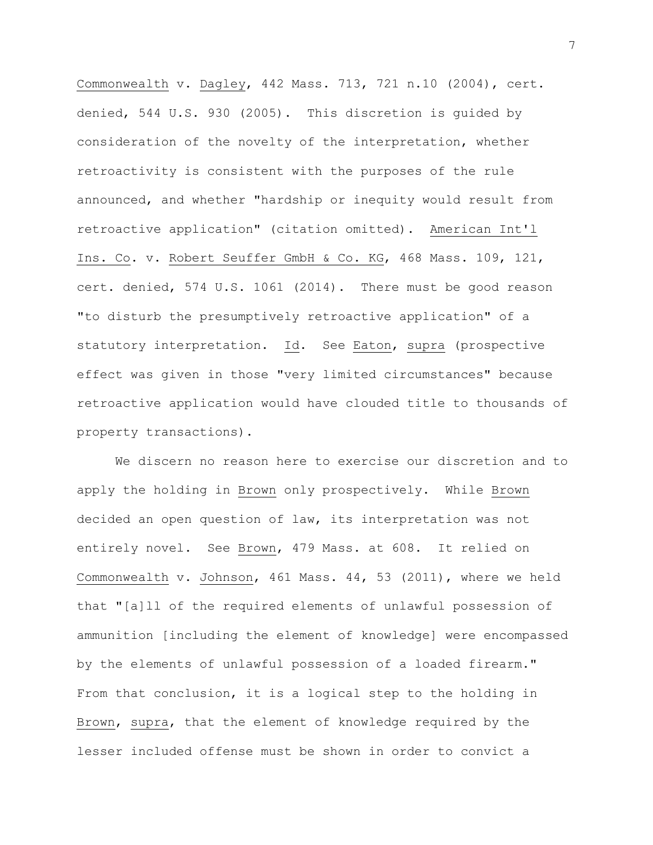Commonwealth v. Dagley, 442 Mass. 713, 721 n.10 (2004), cert. denied, 544 U.S. 930 (2005). This discretion is guided by consideration of the novelty of the interpretation, whether retroactivity is consistent with the purposes of the rule announced, and whether "hardship or inequity would result from retroactive application" (citation omitted). American Int'l Ins. Co. v. Robert Seuffer GmbH & Co. KG, 468 Mass. 109, 121, cert. denied, 574 U.S. 1061 (2014). There must be good reason "to disturb the presumptively retroactive application" of a statutory interpretation. Id. See Eaton, supra (prospective effect was given in those "very limited circumstances" because retroactive application would have clouded title to thousands of property transactions).

We discern no reason here to exercise our discretion and to apply the holding in Brown only prospectively. While Brown decided an open question of law, its interpretation was not entirely novel. See Brown, 479 Mass. at 608. It relied on Commonwealth v. Johnson, 461 Mass. 44, 53 (2011), where we held that "[a]ll of the required elements of unlawful possession of ammunition [including the element of knowledge] were encompassed by the elements of unlawful possession of a loaded firearm." From that conclusion, it is a logical step to the holding in Brown, supra, that the element of knowledge required by the lesser included offense must be shown in order to convict a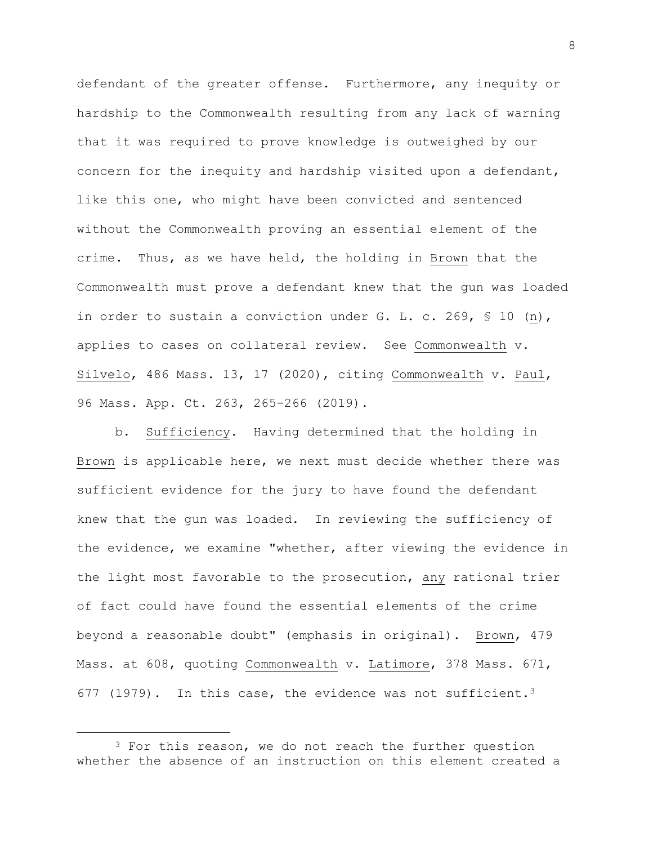defendant of the greater offense. Furthermore, any inequity or hardship to the Commonwealth resulting from any lack of warning that it was required to prove knowledge is outweighed by our concern for the inequity and hardship visited upon a defendant, like this one, who might have been convicted and sentenced without the Commonwealth proving an essential element of the crime. Thus, as we have held, the holding in Brown that the Commonwealth must prove a defendant knew that the gun was loaded in order to sustain a conviction under G. L. c. 269, § 10 (n), applies to cases on collateral review. See Commonwealth v. Silvelo, 486 Mass. 13, 17 (2020), citing Commonwealth v. Paul, 96 Mass. App. Ct. 263, 265-266 (2019).

b. Sufficiency. Having determined that the holding in Brown is applicable here, we next must decide whether there was sufficient evidence for the jury to have found the defendant knew that the gun was loaded. In reviewing the sufficiency of the evidence, we examine "whether, after viewing the evidence in the light most favorable to the prosecution, any rational trier of fact could have found the essential elements of the crime beyond a reasonable doubt" (emphasis in original). Brown, 479 Mass. at 608, quoting Commonwealth v. Latimore, 378 Mass. 671, 677 (1979). In this case, the evidence was not sufficient.<sup>3</sup>

<sup>&</sup>lt;sup>3</sup> For this reason, we do not reach the further question whether the absence of an instruction on this element created a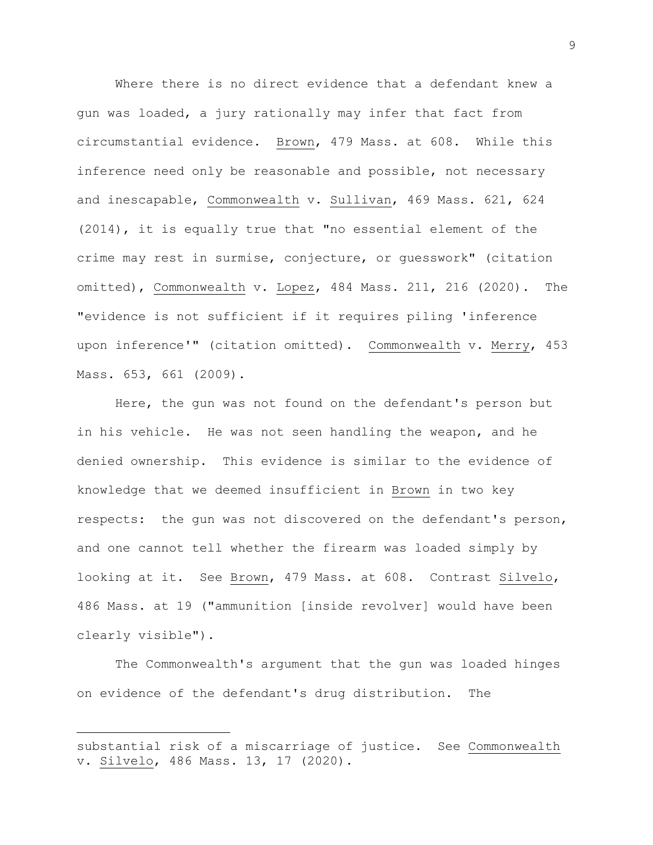Where there is no direct evidence that a defendant knew a gun was loaded, a jury rationally may infer that fact from circumstantial evidence. Brown, 479 Mass. at 608. While this inference need only be reasonable and possible, not necessary and inescapable, Commonwealth v. Sullivan, 469 Mass. 621, 624 (2014), it is equally true that "no essential element of the crime may rest in surmise, conjecture, or guesswork" (citation omitted), Commonwealth v. Lopez, 484 Mass. 211, 216 (2020). The "evidence is not sufficient if it requires piling 'inference upon inference'" (citation omitted). Commonwealth v. Merry, 453 Mass. 653, 661 (2009).

Here, the gun was not found on the defendant's person but in his vehicle. He was not seen handling the weapon, and he denied ownership. This evidence is similar to the evidence of knowledge that we deemed insufficient in Brown in two key respects: the gun was not discovered on the defendant's person, and one cannot tell whether the firearm was loaded simply by looking at it. See Brown, 479 Mass. at 608. Contrast Silvelo, 486 Mass. at 19 ("ammunition [inside revolver] would have been clearly visible").

The Commonwealth's argument that the gun was loaded hinges on evidence of the defendant's drug distribution. The

substantial risk of a miscarriage of justice. See Commonwealth v. Silvelo, 486 Mass. 13, 17 (2020).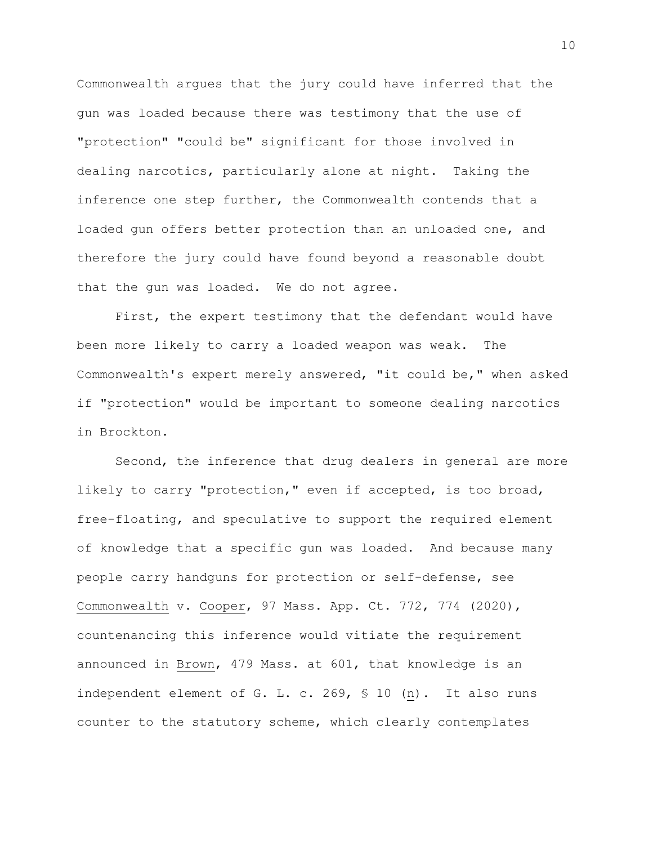Commonwealth argues that the jury could have inferred that the gun was loaded because there was testimony that the use of "protection" "could be" significant for those involved in dealing narcotics, particularly alone at night. Taking the inference one step further, the Commonwealth contends that a loaded gun offers better protection than an unloaded one, and therefore the jury could have found beyond a reasonable doubt that the gun was loaded. We do not agree.

First, the expert testimony that the defendant would have been more likely to carry a loaded weapon was weak. The Commonwealth's expert merely answered, "it could be," when asked if "protection" would be important to someone dealing narcotics in Brockton.

Second, the inference that drug dealers in general are more likely to carry "protection," even if accepted, is too broad, free-floating, and speculative to support the required element of knowledge that a specific gun was loaded. And because many people carry handguns for protection or self-defense, see Commonwealth v. Cooper, 97 Mass. App. Ct. 772, 774 (2020), countenancing this inference would vitiate the requirement announced in Brown, 479 Mass. at 601, that knowledge is an independent element of G. L. c. 269, § 10 (n). It also runs counter to the statutory scheme, which clearly contemplates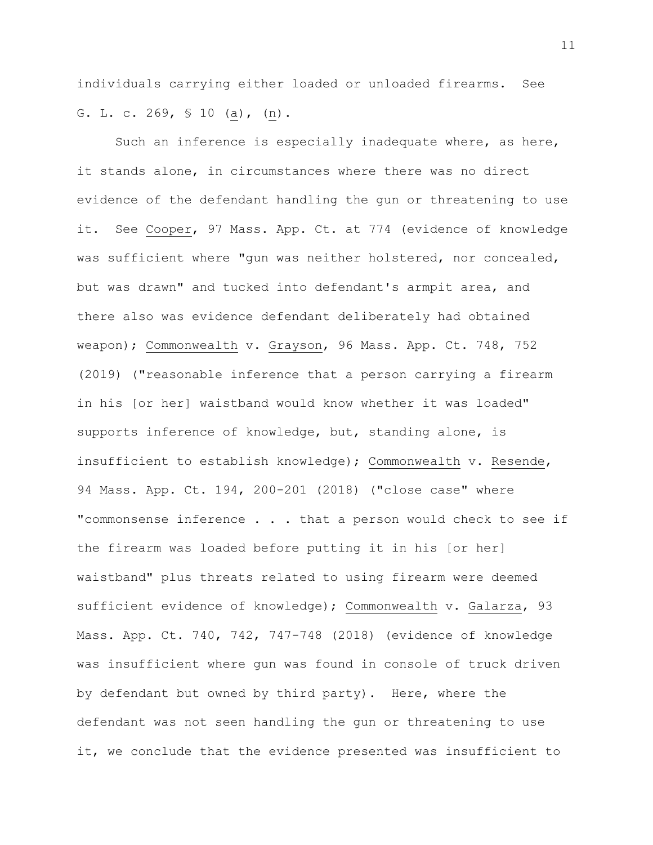individuals carrying either loaded or unloaded firearms. See G. L. c. 269,  $\frac{10}{10}$  (a), (n).

Such an inference is especially inadequate where, as here, it stands alone, in circumstances where there was no direct evidence of the defendant handling the gun or threatening to use it. See Cooper, 97 Mass. App. Ct. at 774 (evidence of knowledge was sufficient where "gun was neither holstered, nor concealed, but was drawn" and tucked into defendant's armpit area, and there also was evidence defendant deliberately had obtained weapon); Commonwealth v. Grayson, 96 Mass. App. Ct. 748, 752 (2019) ("reasonable inference that a person carrying a firearm in his [or her] waistband would know whether it was loaded" supports inference of knowledge, but, standing alone, is insufficient to establish knowledge); Commonwealth v. Resende, 94 Mass. App. Ct. 194, 200-201 (2018) ("close case" where "commonsense inference . . . that a person would check to see if the firearm was loaded before putting it in his [or her] waistband" plus threats related to using firearm were deemed sufficient evidence of knowledge); Commonwealth v. Galarza, 93 Mass. App. Ct. 740, 742, 747-748 (2018) (evidence of knowledge was insufficient where gun was found in console of truck driven by defendant but owned by third party). Here, where the defendant was not seen handling the gun or threatening to use it, we conclude that the evidence presented was insufficient to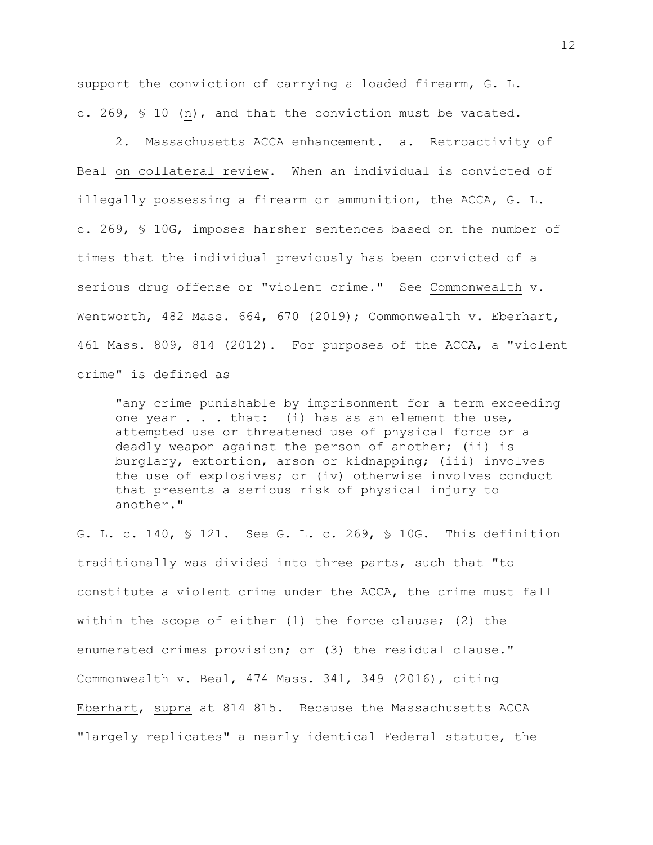support the conviction of carrying a loaded firearm, G. L. c. 269, § 10 (n), and that the conviction must be vacated.

2. Massachusetts ACCA enhancement. a. Retroactivity of Beal on collateral review. When an individual is convicted of illegally possessing a firearm or ammunition, the ACCA, G. L. c. 269, § 10G, imposes harsher sentences based on the number of times that the individual previously has been convicted of a serious drug offense or "violent crime." See Commonwealth v. Wentworth, 482 Mass. 664, 670 (2019); Commonwealth v. Eberhart, 461 Mass. 809, 814 (2012). For purposes of the ACCA, a "violent crime" is defined as

"any crime punishable by imprisonment for a term exceeding one year  $\ldots$  that: (i) has as an element the use, attempted use or threatened use of physical force or a deadly weapon against the person of another; (ii) is burglary, extortion, arson or kidnapping; (iii) involves the use of explosives; or (iv) otherwise involves conduct that presents a serious risk of physical injury to another."

G. L. c. 140, § 121. See G. L. c. 269, § 10G. This definition traditionally was divided into three parts, such that "to constitute a violent crime under the ACCA, the crime must fall within the scope of either (1) the force clause; (2) the enumerated crimes provision; or (3) the residual clause." Commonwealth v. Beal, 474 Mass. 341, 349 (2016), citing Eberhart, supra at 814–815. Because the Massachusetts ACCA "largely replicates" a nearly identical Federal statute, the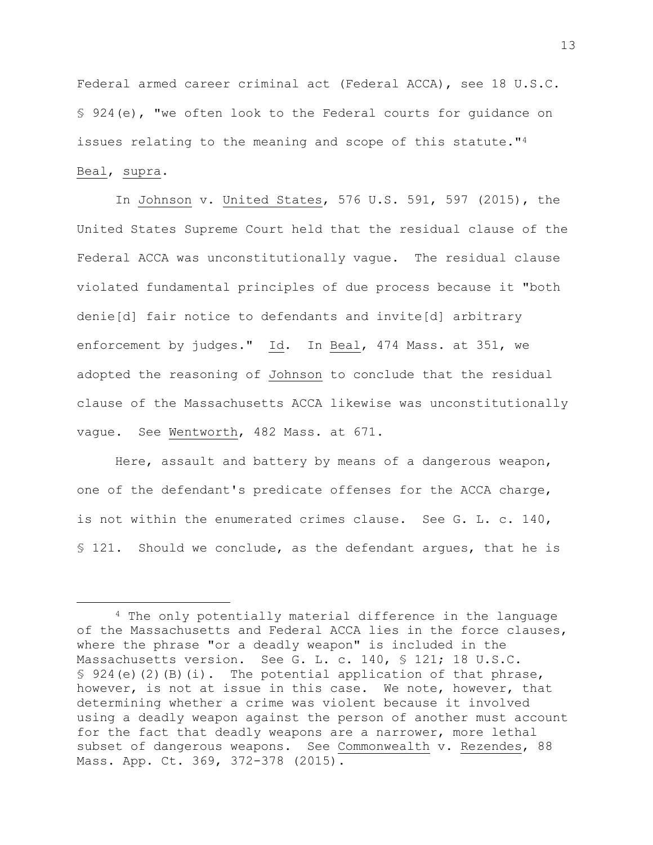Federal armed career criminal act (Federal ACCA), see 18 U.S.C. § 924(e), "we often look to the Federal courts for guidance on issues relating to the meaning and scope of this statute."<sup>4</sup> Beal, supra.

In Johnson v. United States, 576 U.S. 591, 597 (2015), the United States Supreme Court held that the residual clause of the Federal ACCA was unconstitutionally vague. The residual clause violated fundamental principles of due process because it "both denie[d] fair notice to defendants and invite[d] arbitrary enforcement by judges." Id. In Beal, 474 Mass. at 351, we adopted the reasoning of Johnson to conclude that the residual clause of the Massachusetts ACCA likewise was unconstitutionally vague. See Wentworth, 482 Mass. at 671.

Here, assault and battery by means of a dangerous weapon, one of the defendant's predicate offenses for the ACCA charge, is not within the enumerated crimes clause. See G. L. c. 140, § 121. Should we conclude, as the defendant argues, that he is

<sup>4</sup> The only potentially material difference in the language of the Massachusetts and Federal ACCA lies in the force clauses, where the phrase "or a deadly weapon" is included in the Massachusetts version. See G. L. c. 140, § 121; 18 U.S.C.  $$ 924(e)(2)(B)(i).$  The potential application of that phrase, however, is not at issue in this case. We note, however, that determining whether a crime was violent because it involved using a deadly weapon against the person of another must account for the fact that deadly weapons are a narrower, more lethal subset of dangerous weapons. See Commonwealth v. Rezendes, 88 Mass. App. Ct. 369, 372-378 (2015).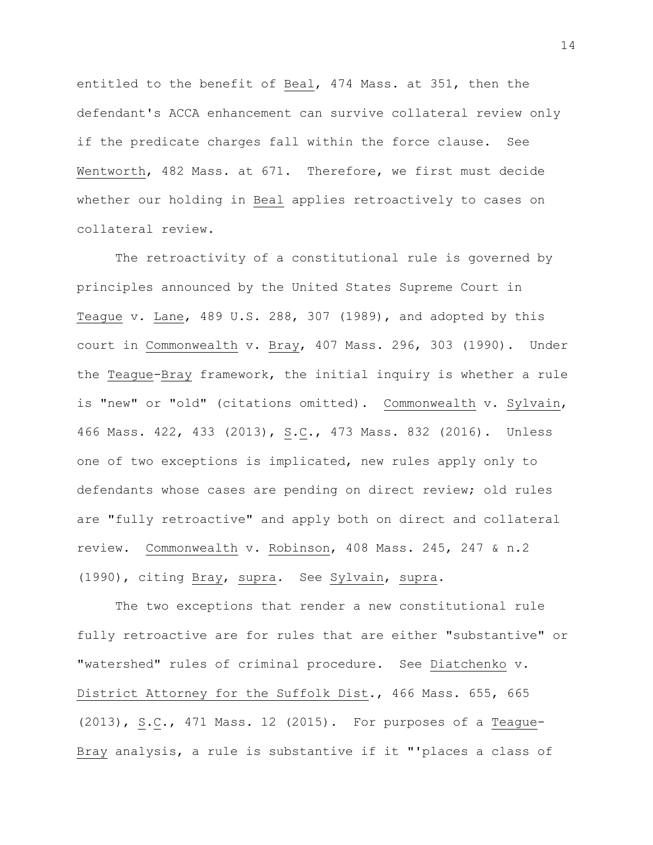entitled to the benefit of Beal, 474 Mass. at 351, then the defendant's ACCA enhancement can survive collateral review only if the predicate charges fall within the force clause. See Wentworth, 482 Mass. at 671. Therefore, we first must decide whether our holding in Beal applies retroactively to cases on collateral review.

The retroactivity of a constitutional rule is governed by principles announced by the United States Supreme Court in Teague v. Lane, 489 U.S. 288, 307 (1989), and adopted by this court in Commonwealth v. Bray, 407 Mass. 296, 303 (1990). Under the Teague-Bray framework, the initial inquiry is whether a rule is "new" or "old" (citations omitted). Commonwealth v. Sylvain, 466 Mass. 422, 433 (2013), S.C., 473 Mass. 832 (2016). Unless one of two exceptions is implicated, new rules apply only to defendants whose cases are pending on direct review; old rules are "fully retroactive" and apply both on direct and collateral review. Commonwealth v. Robinson, 408 Mass. 245, 247 & n.2 (1990), citing Bray, supra. See Sylvain, supra.

The two exceptions that render a new constitutional rule fully retroactive are for rules that are either "substantive" or "watershed" rules of criminal procedure. See Diatchenko v. District Attorney for the Suffolk Dist., 466 Mass. 655, 665 (2013), S.C., 471 Mass. 12 (2015). For purposes of a Teague-Bray analysis, a rule is substantive if it "'places a class of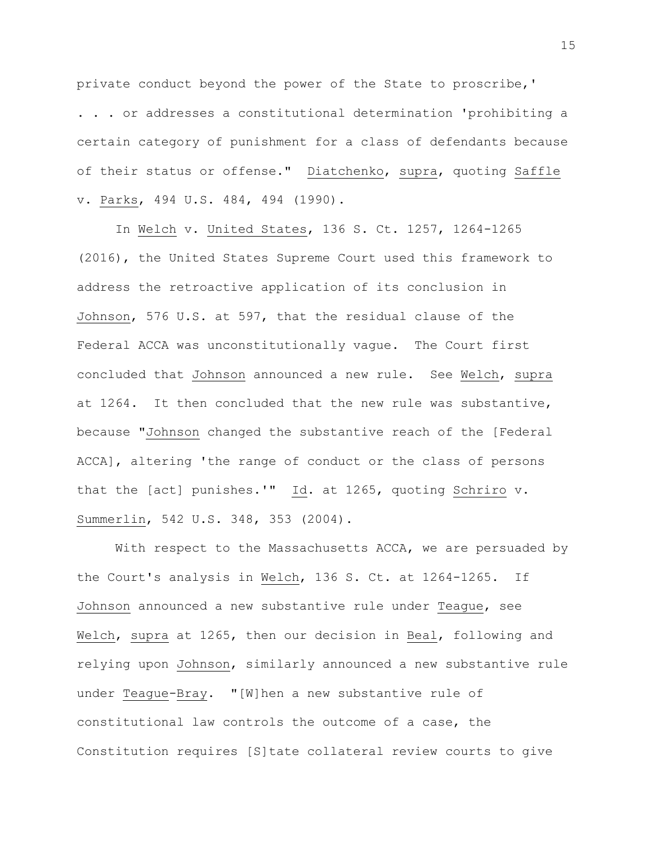private conduct beyond the power of the State to proscribe,'

. . . or addresses a constitutional determination 'prohibiting a certain category of punishment for a class of defendants because of their status or offense." Diatchenko, supra, quoting Saffle v. Parks, 494 U.S. 484, 494 (1990).

In Welch v. United States, 136 S. Ct. 1257, 1264-1265 (2016), the United States Supreme Court used this framework to address the retroactive application of its conclusion in Johnson, 576 U.S. at 597, that the residual clause of the Federal ACCA was unconstitutionally vague. The Court first concluded that Johnson announced a new rule. See Welch, supra at 1264. It then concluded that the new rule was substantive, because "Johnson changed the substantive reach of the [Federal ACCA], altering 'the range of conduct or the class of persons that the [act] punishes.'" Id. at 1265, quoting Schriro v. Summerlin, 542 U.S. 348, 353 (2004).

With respect to the Massachusetts ACCA, we are persuaded by the Court's analysis in Welch, 136 S. Ct. at 1264-1265. If Johnson announced a new substantive rule under Teague, see Welch, supra at 1265, then our decision in Beal, following and relying upon Johnson, similarly announced a new substantive rule under Teague-Bray. "[W]hen a new substantive rule of constitutional law controls the outcome of a case, the Constitution requires [S]tate collateral review courts to give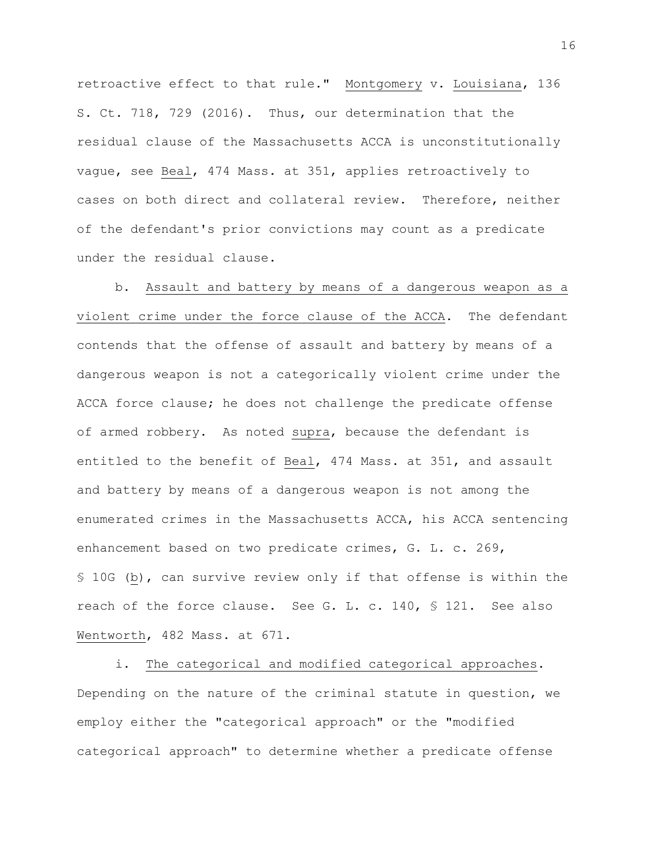retroactive effect to that rule." Montgomery v. Louisiana, 136 S. Ct. 718, 729 (2016). Thus, our determination that the residual clause of the Massachusetts ACCA is unconstitutionally vague, see Beal, 474 Mass. at 351, applies retroactively to cases on both direct and collateral review. Therefore, neither of the defendant's prior convictions may count as a predicate under the residual clause.

b. Assault and battery by means of a dangerous weapon as a violent crime under the force clause of the ACCA. The defendant contends that the offense of assault and battery by means of a dangerous weapon is not a categorically violent crime under the ACCA force clause; he does not challenge the predicate offense of armed robbery. As noted supra, because the defendant is entitled to the benefit of Beal, 474 Mass. at 351, and assault and battery by means of a dangerous weapon is not among the enumerated crimes in the Massachusetts ACCA, his ACCA sentencing enhancement based on two predicate crimes, G. L. c. 269, § 10G (b), can survive review only if that offense is within the reach of the force clause. See G. L. c. 140, § 121. See also Wentworth, 482 Mass. at 671.

i. The categorical and modified categorical approaches. Depending on the nature of the criminal statute in question, we employ either the "categorical approach" or the "modified categorical approach" to determine whether a predicate offense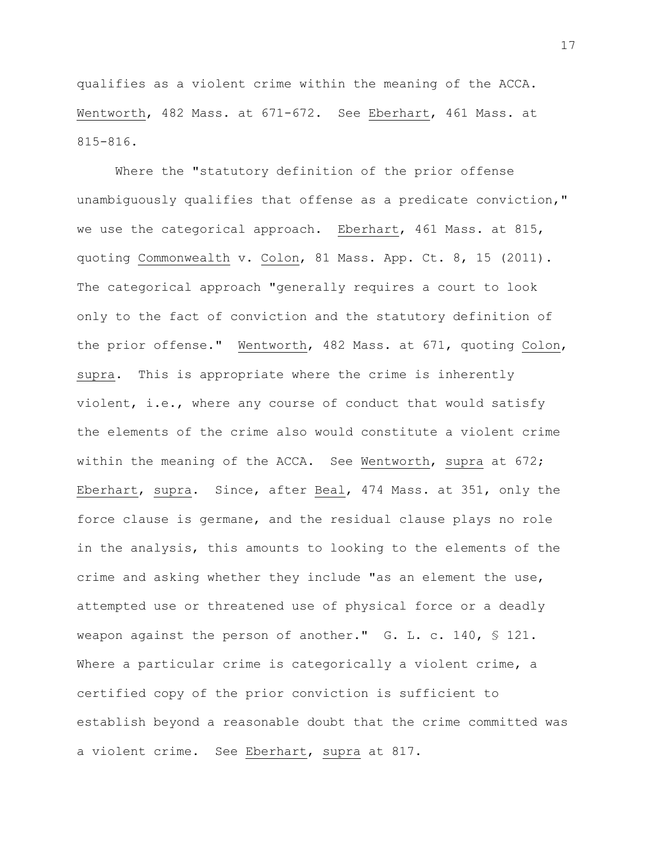qualifies as a violent crime within the meaning of the ACCA. Wentworth, 482 Mass. at 671-672. See Eberhart, 461 Mass. at 815-816.

Where the "statutory definition of the prior offense unambiguously qualifies that offense as a predicate conviction," we use the categorical approach. Eberhart, 461 Mass. at 815, quoting Commonwealth v. Colon, 81 Mass. App. Ct. 8, 15 (2011). The categorical approach "generally requires a court to look only to the fact of conviction and the statutory definition of the prior offense." Wentworth, 482 Mass. at 671, quoting Colon, supra. This is appropriate where the crime is inherently violent, i.e., where any course of conduct that would satisfy the elements of the crime also would constitute a violent crime within the meaning of the ACCA. See Wentworth, supra at 672; Eberhart, supra. Since, after Beal, 474 Mass. at 351, only the force clause is germane, and the residual clause plays no role in the analysis, this amounts to looking to the elements of the crime and asking whether they include "as an element the use, attempted use or threatened use of physical force or a deadly weapon against the person of another." G. L. c. 140, § 121. Where a particular crime is categorically a violent crime, a certified copy of the prior conviction is sufficient to establish beyond a reasonable doubt that the crime committed was a violent crime. See Eberhart, supra at 817.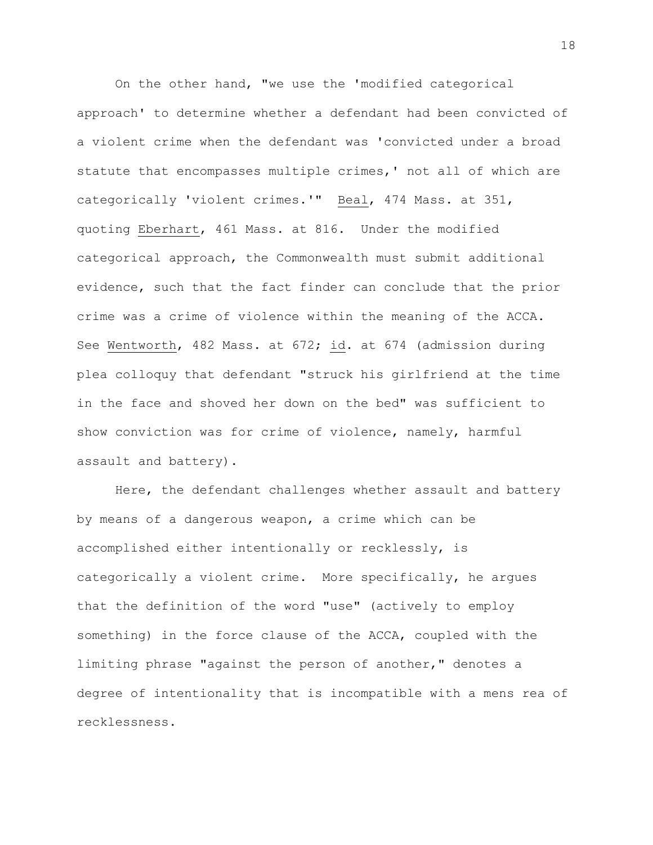On the other hand, "we use the 'modified categorical approach' to determine whether a defendant had been convicted of a violent crime when the defendant was 'convicted under a broad statute that encompasses multiple crimes,' not all of which are categorically 'violent crimes.'" Beal, 474 Mass. at 351, quoting Eberhart, 461 Mass. at 816. Under the modified categorical approach, the Commonwealth must submit additional evidence, such that the fact finder can conclude that the prior crime was a crime of violence within the meaning of the ACCA. See Wentworth, 482 Mass. at 672; id. at 674 (admission during plea colloquy that defendant "struck his girlfriend at the time in the face and shoved her down on the bed" was sufficient to show conviction was for crime of violence, namely, harmful assault and battery).

Here, the defendant challenges whether assault and battery by means of a dangerous weapon, a crime which can be accomplished either intentionally or recklessly, is categorically a violent crime. More specifically, he argues that the definition of the word "use" (actively to employ something) in the force clause of the ACCA, coupled with the limiting phrase "against the person of another," denotes a degree of intentionality that is incompatible with a mens rea of recklessness.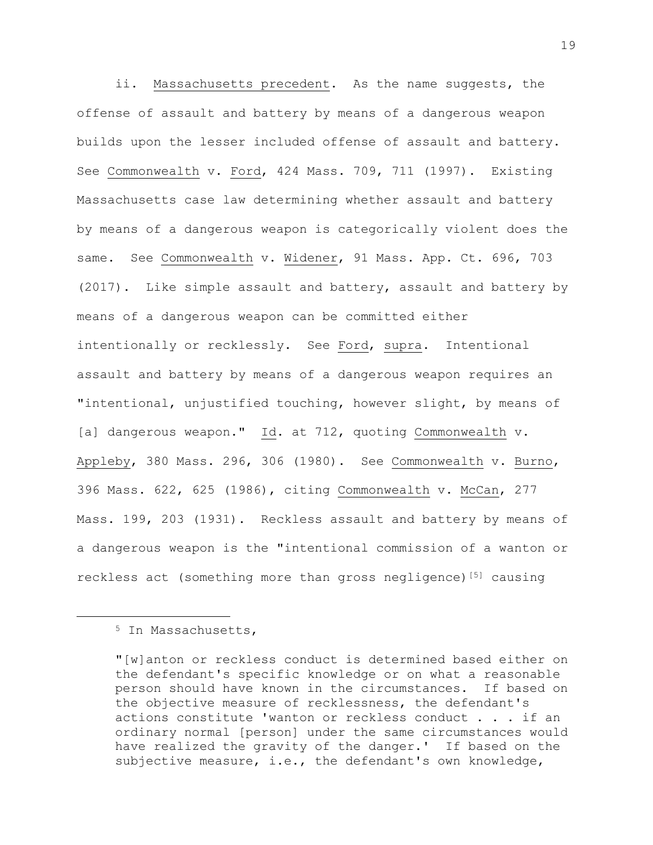ii. Massachusetts precedent. As the name suggests, the offense of assault and battery by means of a dangerous weapon builds upon the lesser included offense of assault and battery. See Commonwealth v. Ford, 424 Mass. 709, 711 (1997). Existing Massachusetts case law determining whether assault and battery by means of a dangerous weapon is categorically violent does the same. See Commonwealth v. Widener, 91 Mass. App. Ct. 696, 703 (2017). Like simple assault and battery, assault and battery by means of a dangerous weapon can be committed either intentionally or recklessly. See Ford, supra. Intentional assault and battery by means of a dangerous weapon requires an "intentional, unjustified touching, however slight, by means of [a] dangerous weapon." Id. at 712, quoting Commonwealth v. Appleby, 380 Mass. 296, 306 (1980). See Commonwealth v. Burno, 396 Mass. 622, 625 (1986), citing Commonwealth v. McCan, 277 Mass. 199, 203 (1931). Reckless assault and battery by means of a dangerous weapon is the "intentional commission of a wanton or reckless act (something more than gross negligence)<sup>[5]</sup> causing

<sup>5</sup> In Massachusetts,

<sup>&</sup>quot;[w]anton or reckless conduct is determined based either on the defendant's specific knowledge or on what a reasonable person should have known in the circumstances. If based on the objective measure of recklessness, the defendant's actions constitute 'wanton or reckless conduct . . . if an ordinary normal [person] under the same circumstances would have realized the gravity of the danger.' If based on the subjective measure, i.e., the defendant's own knowledge,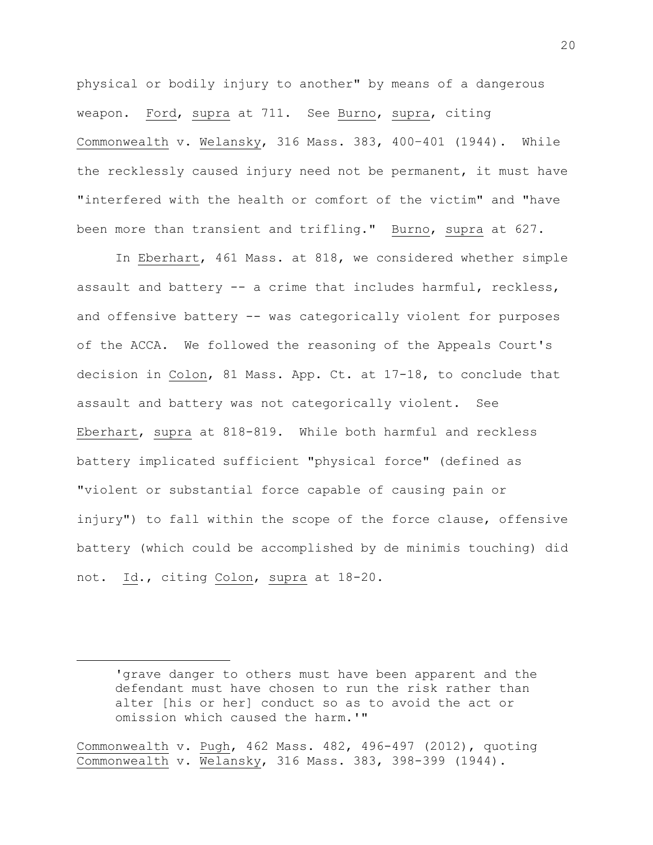physical or bodily injury to another" by means of a dangerous weapon. Ford, supra at 711. See Burno, supra, citing Commonwealth v. Welansky, 316 Mass. 383, 400–401 (1944). While the recklessly caused injury need not be permanent, it must have "interfered with the health or comfort of the victim" and "have been more than transient and trifling." Burno, supra at 627.

In Eberhart, 461 Mass. at 818, we considered whether simple assault and battery -- a crime that includes harmful, reckless, and offensive battery -- was categorically violent for purposes of the ACCA. We followed the reasoning of the Appeals Court's decision in Colon, 81 Mass. App. Ct. at 17-18, to conclude that assault and battery was not categorically violent. See Eberhart, supra at 818-819. While both harmful and reckless battery implicated sufficient "physical force" (defined as "violent or substantial force capable of causing pain or injury") to fall within the scope of the force clause, offensive battery (which could be accomplished by de minimis touching) did not. Id., citing Colon, supra at 18-20.

Commonwealth v. Pugh, 462 Mass. 482, 496-497 (2012), quoting Commonwealth v. Welansky, 316 Mass. 383, 398-399 (1944).

<sup>&#</sup>x27;grave danger to others must have been apparent and the defendant must have chosen to run the risk rather than alter [his or her] conduct so as to avoid the act or omission which caused the harm.'"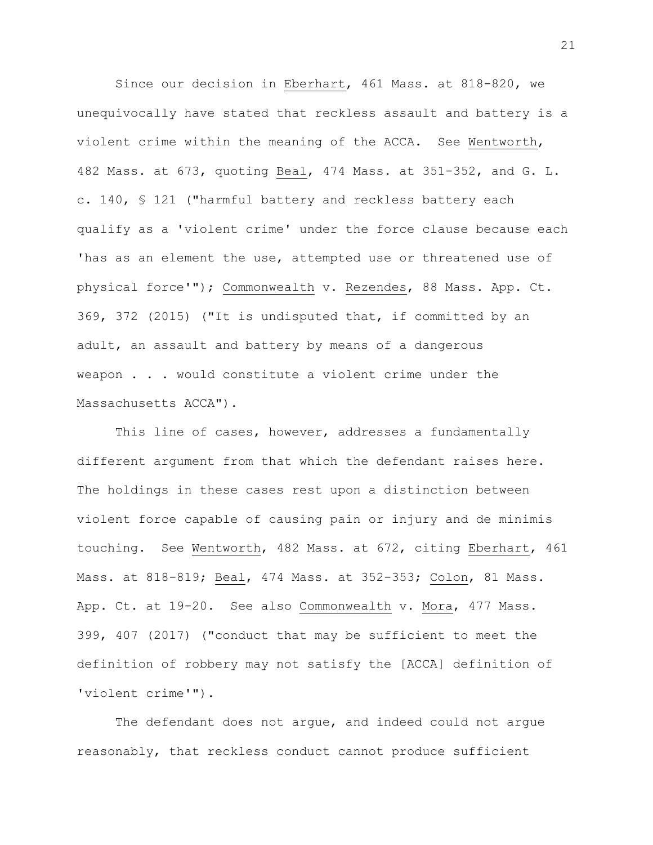Since our decision in Eberhart, 461 Mass. at 818-820, we unequivocally have stated that reckless assault and battery is a violent crime within the meaning of the ACCA. See Wentworth, 482 Mass. at 673, quoting Beal, 474 Mass. at 351-352, and G. L. c. 140, § 121 ("harmful battery and reckless battery each qualify as a 'violent crime' under the force clause because each 'has as an element the use, attempted use or threatened use of physical force'"); Commonwealth v. Rezendes, 88 Mass. App. Ct. 369, 372 (2015) ("It is undisputed that, if committed by an adult, an assault and battery by means of a dangerous weapon . . . would constitute a violent crime under the Massachusetts ACCA").

This line of cases, however, addresses a fundamentally different argument from that which the defendant raises here. The holdings in these cases rest upon a distinction between violent force capable of causing pain or injury and de minimis touching. See Wentworth, 482 Mass. at 672, citing Eberhart, 461 Mass. at 818-819; Beal, 474 Mass. at 352-353; Colon, 81 Mass. App. Ct. at 19-20. See also Commonwealth v. Mora, 477 Mass. 399, 407 (2017) ("conduct that may be sufficient to meet the definition of robbery may not satisfy the [ACCA] definition of 'violent crime'").

The defendant does not argue, and indeed could not argue reasonably, that reckless conduct cannot produce sufficient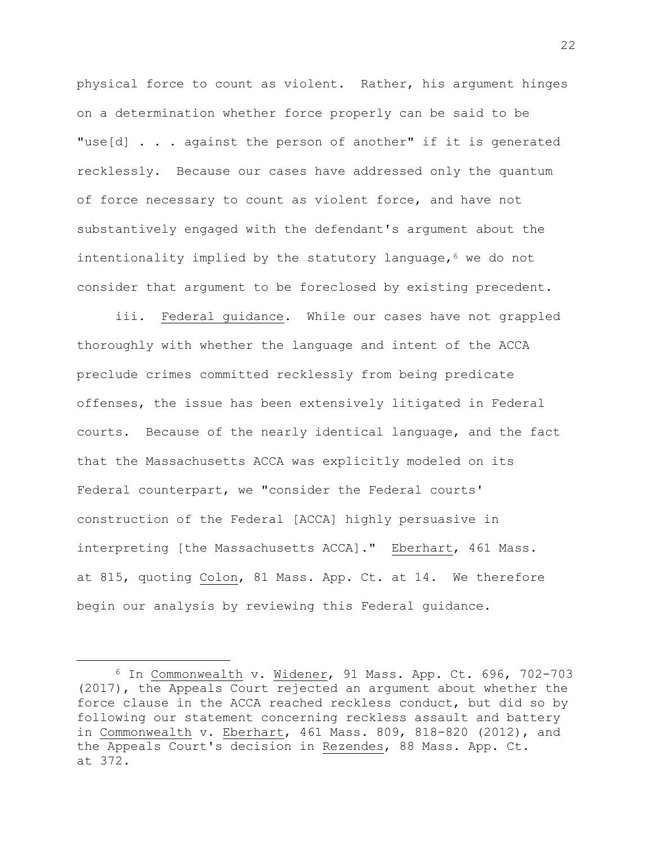physical force to count as violent. Rather, his argument hinges on a determination whether force properly can be said to be "use[d] . . . against the person of another" if it is generated recklessly. Because our cases have addressed only the quantum of force necessary to count as violent force, and have not substantively engaged with the defendant's argument about the intentionality implied by the statutory language,<sup>6</sup> we do not consider that argument to be foreclosed by existing precedent.

iii. Federal guidance. While our cases have not grappled thoroughly with whether the language and intent of the ACCA preclude crimes committed recklessly from being predicate offenses, the issue has been extensively litigated in Federal courts. Because of the nearly identical language, and the fact that the Massachusetts ACCA was explicitly modeled on its Federal counterpart, we "consider the Federal courts' construction of the Federal [ACCA] highly persuasive in interpreting [the Massachusetts ACCA]." Eberhart, 461 Mass. at 815, quoting Colon, 81 Mass. App. Ct. at 14. We therefore begin our analysis by reviewing this Federal guidance.

<sup>6</sup> In Commonwealth v. Widener, 91 Mass. App. Ct. 696, 702-703 (2017), the Appeals Court rejected an argument about whether the force clause in the ACCA reached reckless conduct, but did so by following our statement concerning reckless assault and battery in Commonwealth v. Eberhart, 461 Mass. 809, 818-820 (2012), and the Appeals Court's decision in Rezendes, 88 Mass. App. Ct. at 372.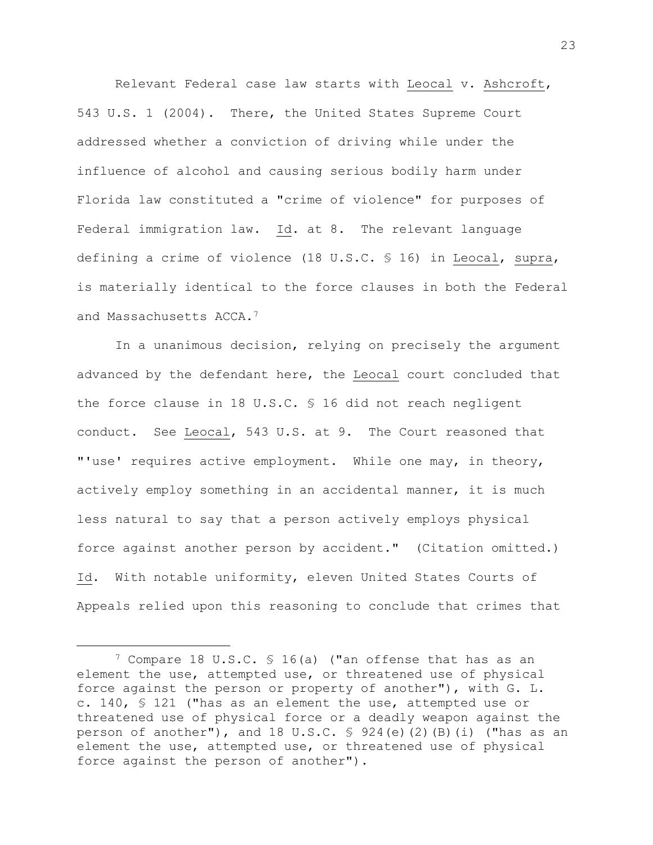Relevant Federal case law starts with Leocal v. Ashcroft, 543 U.S. 1 (2004). There, the United States Supreme Court addressed whether a conviction of driving while under the influence of alcohol and causing serious bodily harm under Florida law constituted a "crime of violence" for purposes of Federal immigration law. Id. at 8. The relevant language defining a crime of violence (18 U.S.C. § 16) in Leocal, supra, is materially identical to the force clauses in both the Federal and Massachusetts ACCA.<sup>7</sup>

In a unanimous decision, relying on precisely the argument advanced by the defendant here, the Leocal court concluded that the force clause in 18 U.S.C. § 16 did not reach negligent conduct. See Leocal, 543 U.S. at 9. The Court reasoned that "'use' requires active employment. While one may, in theory, actively employ something in an accidental manner, it is much less natural to say that a person actively employs physical force against another person by accident." (Citation omitted.) Id. With notable uniformity, eleven United States Courts of Appeals relied upon this reasoning to conclude that crimes that

<sup>7</sup> Compare 18 U.S.C. § 16(a) ("an offense that has as an element the use, attempted use, or threatened use of physical force against the person or property of another"), with G. L. c. 140, § 121 ("has as an element the use, attempted use or threatened use of physical force or a deadly weapon against the person of another"), and 18 U.S.C. § 924(e)(2)(B)(i) ("has as an element the use, attempted use, or threatened use of physical force against the person of another").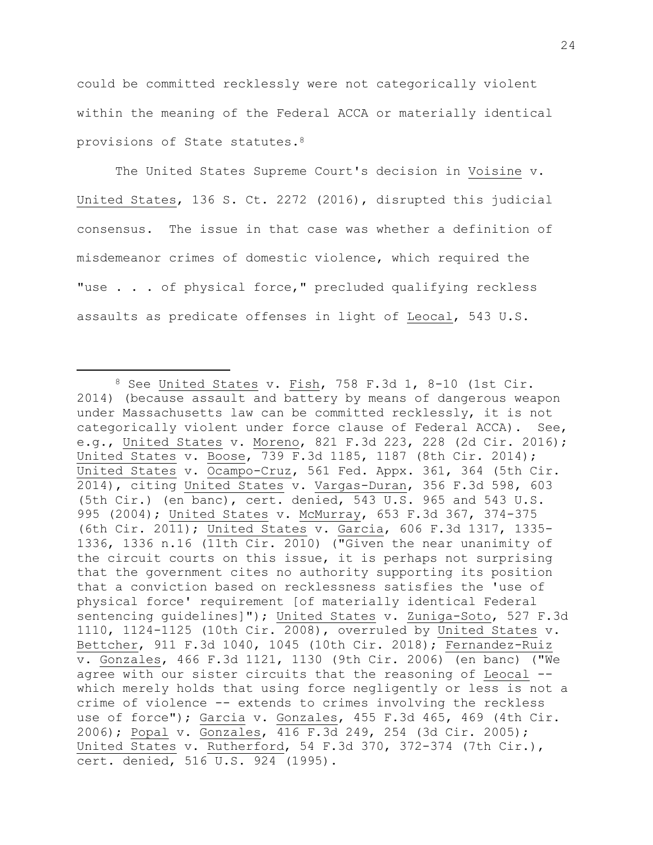could be committed recklessly were not categorically violent within the meaning of the Federal ACCA or materially identical provisions of State statutes.<sup>8</sup>

The United States Supreme Court's decision in Voisine v. United States, 136 S. Ct. 2272 (2016), disrupted this judicial consensus. The issue in that case was whether a definition of misdemeanor crimes of domestic violence, which required the "use . . . of physical force," precluded qualifying reckless assaults as predicate offenses in light of Leocal, 543 U.S.

<sup>8</sup> See United States v. Fish, 758 F.3d 1, 8-10 (1st Cir. 2014) (because assault and battery by means of dangerous weapon under Massachusetts law can be committed recklessly, it is not categorically violent under force clause of Federal ACCA). See, e.g., United States v. Moreno, 821 F.3d 223, 228 (2d Cir. 2016); United States v. Boose, 739 F.3d 1185, 1187 (8th Cir. 2014); United States v. Ocampo-Cruz, 561 Fed. Appx. 361, 364 (5th Cir. 2014), citing United States v. Vargas-Duran, 356 F.3d 598, 603 (5th Cir.) (en banc), cert. denied, 543 U.S. 965 and 543 U.S. 995 (2004); United States v. McMurray, 653 F.3d 367, 374-375 (6th Cir. 2011); United States v. Garcia, 606 F.3d 1317, 1335- 1336, 1336 n.16 (11th Cir. 2010) ("Given the near unanimity of the circuit courts on this issue, it is perhaps not surprising that the government cites no authority supporting its position that a conviction based on recklessness satisfies the 'use of physical force' requirement [of materially identical Federal sentencing guidelines]"); United States v. Zuniga-Soto, 527 F.3d 1110, 1124-1125 (10th Cir. 2008), overruled by United States v. Bettcher, 911 F.3d 1040, 1045 (10th Cir. 2018); Fernandez-Ruiz v. Gonzales, 466 F.3d 1121, 1130 (9th Cir. 2006) (en banc) ("We agree with our sister circuits that the reasoning of Leocal - which merely holds that using force negligently or less is not a crime of violence -- extends to crimes involving the reckless use of force"); Garcia v. Gonzales, 455 F.3d 465, 469 (4th Cir. 2006); Popal v. Gonzales, 416 F.3d 249, 254 (3d Cir. 2005); United States v. Rutherford, 54 F.3d 370, 372-374 (7th Cir.), cert. denied, 516 U.S. 924 (1995).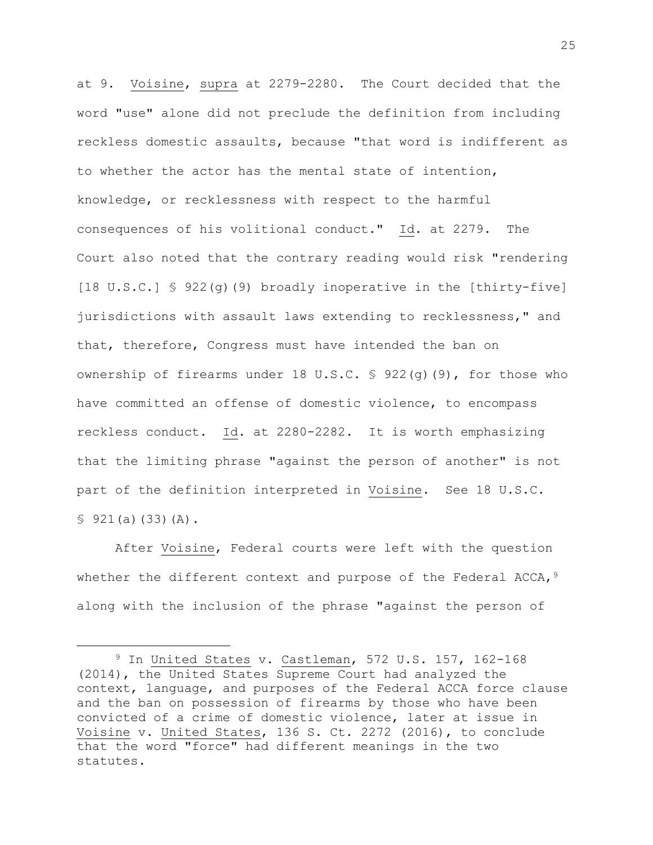at 9. Voisine, supra at 2279-2280. The Court decided that the word "use" alone did not preclude the definition from including reckless domestic assaults, because "that word is indifferent as to whether the actor has the mental state of intention, knowledge, or recklessness with respect to the harmful consequences of his volitional conduct." Id. at 2279. The Court also noted that the contrary reading would risk "rendering [18 U.S.C.] § 922(g)(9) broadly inoperative in the [thirty-five] jurisdictions with assault laws extending to recklessness," and that, therefore, Congress must have intended the ban on ownership of firearms under 18 U.S.C. § 922(g)(9), for those who have committed an offense of domestic violence, to encompass reckless conduct. Id. at 2280-2282. It is worth emphasizing that the limiting phrase "against the person of another" is not part of the definition interpreted in Voisine. See 18 U.S.C. § 921(a)(33)(A).

After Voisine, Federal courts were left with the question whether the different context and purpose of the Federal ACCA,  $9$ along with the inclusion of the phrase "against the person of

<sup>9</sup> In United States v. Castleman, 572 U.S. 157, 162-168 (2014), the United States Supreme Court had analyzed the context, language, and purposes of the Federal ACCA force clause and the ban on possession of firearms by those who have been convicted of a crime of domestic violence, later at issue in Voisine v. United States, 136 S. Ct. 2272 (2016), to conclude that the word "force" had different meanings in the two statutes.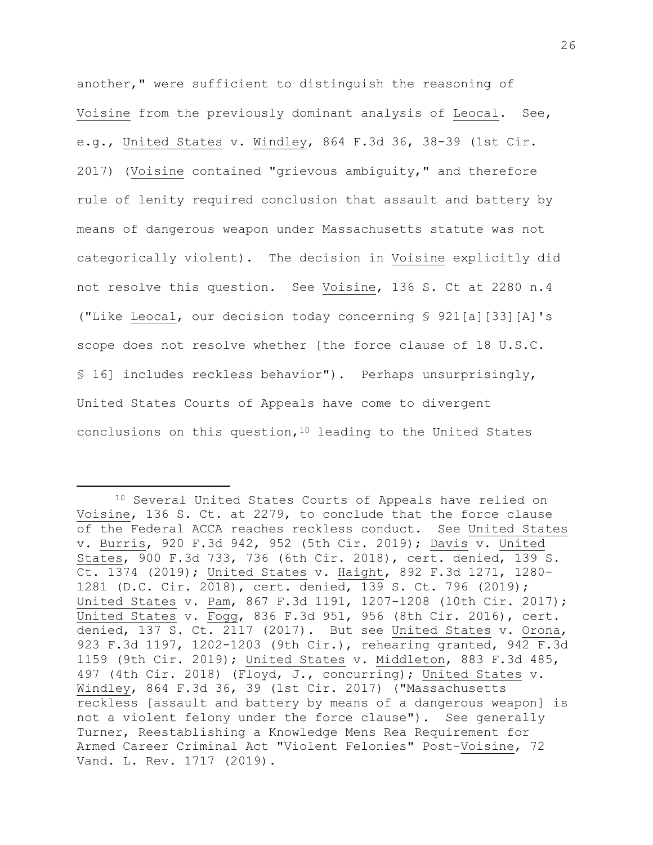another," were sufficient to distinguish the reasoning of Voisine from the previously dominant analysis of Leocal. See, e.g., United States v. Windley, 864 F.3d 36, 38-39 (1st Cir. 2017) (Voisine contained "grievous ambiguity," and therefore rule of lenity required conclusion that assault and battery by means of dangerous weapon under Massachusetts statute was not categorically violent). The decision in Voisine explicitly did not resolve this question. See Voisine, 136 S. Ct at 2280 n.4 ("Like Leocal, our decision today concerning § 921[a][33][A]'s scope does not resolve whether [the force clause of 18 U.S.C. § 16] includes reckless behavior"). Perhaps unsurprisingly, United States Courts of Appeals have come to divergent conclusions on this question,  $10$  leading to the United States

<sup>10</sup> Several United States Courts of Appeals have relied on Voisine, 136 S. Ct. at 2279, to conclude that the force clause of the Federal ACCA reaches reckless conduct. See United States v. Burris, 920 F.3d 942, 952 (5th Cir. 2019); Davis v. United States, 900 F.3d 733, 736 (6th Cir. 2018), cert. denied, 139 S. Ct. 1374 (2019); United States v. Haight, 892 F.3d 1271, 1280- 1281 (D.C. Cir. 2018), cert. denied, 139 S. Ct. 796 (2019); United States v. Pam, 867 F.3d 1191, 1207-1208 (10th Cir. 2017); United States v. Fogg, 836 F.3d 951, 956 (8th Cir. 2016), cert. denied, 137 S. Ct. 2117 (2017). But see United States v. Orona, 923 F.3d 1197, 1202-1203 (9th Cir.), rehearing granted, 942 F.3d 1159 (9th Cir. 2019); United States v. Middleton, 883 F.3d 485, 497 (4th Cir. 2018) (Floyd, J., concurring); United States v. Windley, 864 F.3d 36, 39 (1st Cir. 2017) ("Massachusetts reckless [assault and battery by means of a dangerous weapon] is not a violent felony under the force clause"). See generally Turner, Reestablishing a Knowledge Mens Rea Requirement for Armed Career Criminal Act "Violent Felonies" Post-Voisine, 72 Vand. L. Rev. 1717 (2019).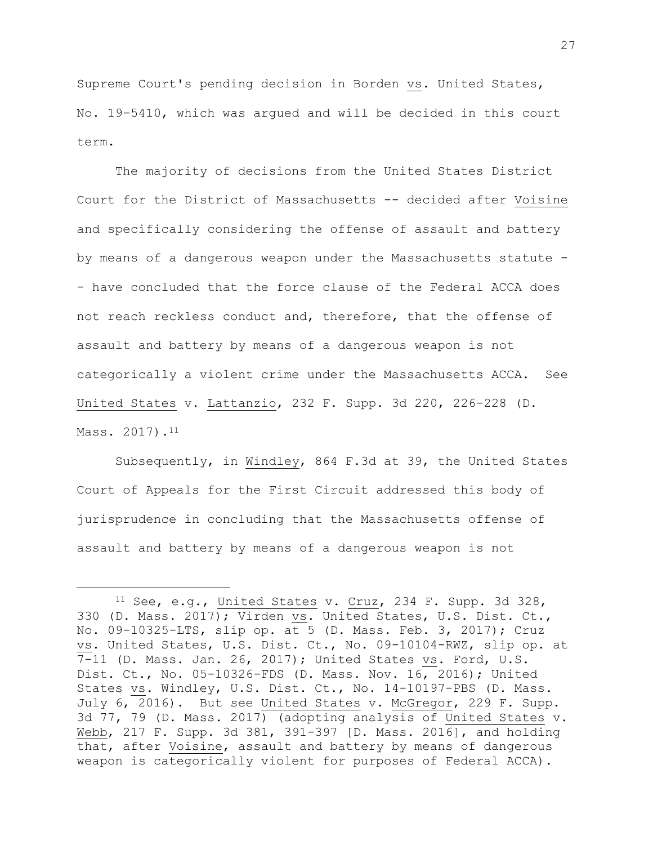Supreme Court's pending decision in Borden vs. United States, No. 19-5410, which was argued and will be decided in this court term.

The majority of decisions from the United States District Court for the District of Massachusetts -- decided after Voisine and specifically considering the offense of assault and battery by means of a dangerous weapon under the Massachusetts statute - - have concluded that the force clause of the Federal ACCA does not reach reckless conduct and, therefore, that the offense of assault and battery by means of a dangerous weapon is not categorically a violent crime under the Massachusetts ACCA. See United States v. Lattanzio, 232 F. Supp. 3d 220, 226-228 (D. Mass. 2017).<sup>11</sup>

Subsequently, in Windley, 864 F.3d at 39, the United States Court of Appeals for the First Circuit addressed this body of jurisprudence in concluding that the Massachusetts offense of assault and battery by means of a dangerous weapon is not

<sup>11</sup> See, e.g., United States v. Cruz, 234 F. Supp. 3d 328, 330 (D. Mass. 2017); Virden vs. United States, U.S. Dist. Ct., No. 09-10325-LTS, slip op. at 5 (D. Mass. Feb. 3, 2017); Cruz vs. United States, U.S. Dist. Ct., No. 09-10104-RWZ, slip op. at 7-11 (D. Mass. Jan. 26, 2017); United States vs. Ford, U.S. Dist. Ct., No. 05-10326-FDS (D. Mass. Nov. 16, 2016); United States vs. Windley, U.S. Dist. Ct., No. 14-10197-PBS (D. Mass. July 6, 2016). But see United States v. McGregor, 229 F. Supp. 3d 77, 79 (D. Mass. 2017) (adopting analysis of United States v. Webb, 217 F. Supp. 3d 381, 391-397 [D. Mass. 2016], and holding that, after Voisine, assault and battery by means of dangerous weapon is categorically violent for purposes of Federal ACCA).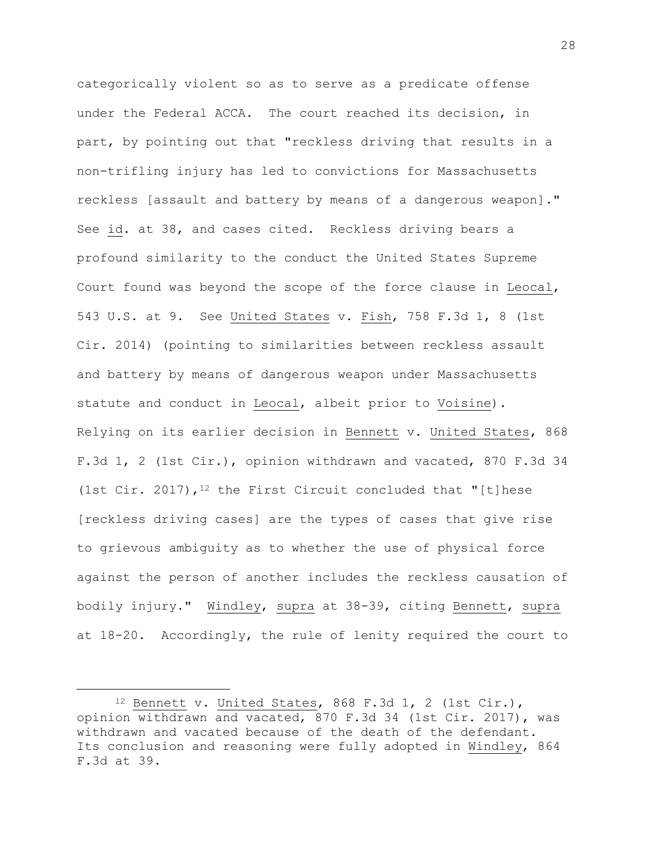categorically violent so as to serve as a predicate offense under the Federal ACCA. The court reached its decision, in part, by pointing out that "reckless driving that results in a non-trifling injury has led to convictions for Massachusetts reckless [assault and battery by means of a dangerous weapon]." See id. at 38, and cases cited. Reckless driving bears a profound similarity to the conduct the United States Supreme Court found was beyond the scope of the force clause in Leocal, 543 U.S. at 9. See United States v. Fish, 758 F.3d 1, 8 (1st Cir. 2014) (pointing to similarities between reckless assault and battery by means of dangerous weapon under Massachusetts statute and conduct in Leocal, albeit prior to Voisine). Relying on its earlier decision in Bennett v. United States, 868 F.3d 1, 2 (1st Cir.), opinion withdrawn and vacated, 870 F.3d 34 (1st Cir. 2017),  $1^2$  the First Circuit concluded that "[t]hese [reckless driving cases] are the types of cases that give rise to grievous ambiguity as to whether the use of physical force against the person of another includes the reckless causation of bodily injury." Windley, supra at 38-39, citing Bennett, supra at 18-20. Accordingly, the rule of lenity required the court to

 $12$  Bennett v. United States, 868 F.3d 1, 2 (1st Cir.), opinion withdrawn and vacated, 870 F.3d 34 (1st Cir. 2017), was withdrawn and vacated because of the death of the defendant. Its conclusion and reasoning were fully adopted in Windley, 864 F.3d at 39.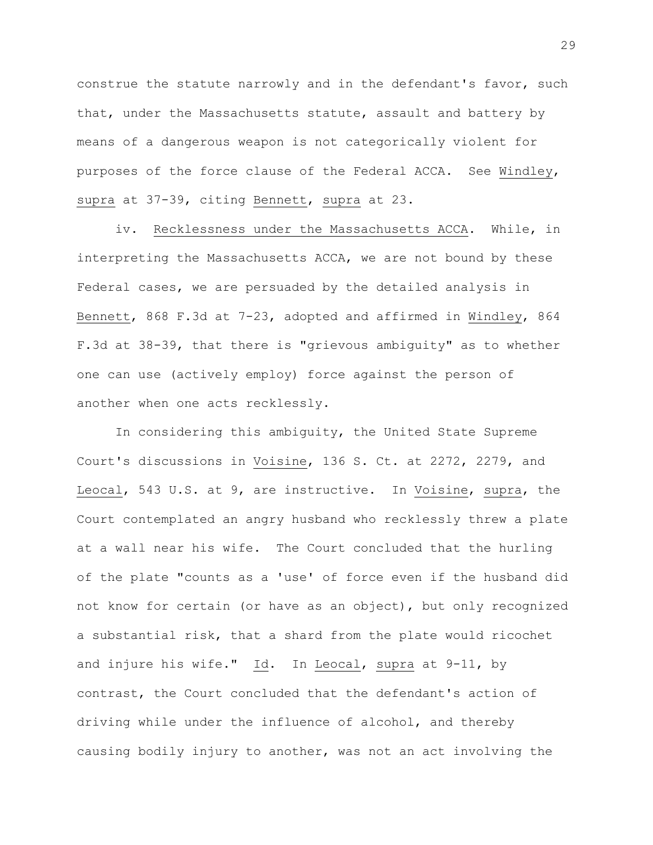construe the statute narrowly and in the defendant's favor, such that, under the Massachusetts statute, assault and battery by means of a dangerous weapon is not categorically violent for purposes of the force clause of the Federal ACCA. See Windley, supra at 37-39, citing Bennett, supra at 23.

iv. Recklessness under the Massachusetts ACCA. While, in interpreting the Massachusetts ACCA, we are not bound by these Federal cases, we are persuaded by the detailed analysis in Bennett, 868 F.3d at 7-23, adopted and affirmed in Windley, 864 F.3d at 38-39, that there is "grievous ambiguity" as to whether one can use (actively employ) force against the person of another when one acts recklessly.

In considering this ambiguity, the United State Supreme Court's discussions in Voisine, 136 S. Ct. at 2272, 2279, and Leocal, 543 U.S. at 9, are instructive. In Voisine, supra, the Court contemplated an angry husband who recklessly threw a plate at a wall near his wife. The Court concluded that the hurling of the plate "counts as a 'use' of force even if the husband did not know for certain (or have as an object), but only recognized a substantial risk, that a shard from the plate would ricochet and injure his wife." Id. In Leocal, supra at 9-11, by contrast, the Court concluded that the defendant's action of driving while under the influence of alcohol, and thereby causing bodily injury to another, was not an act involving the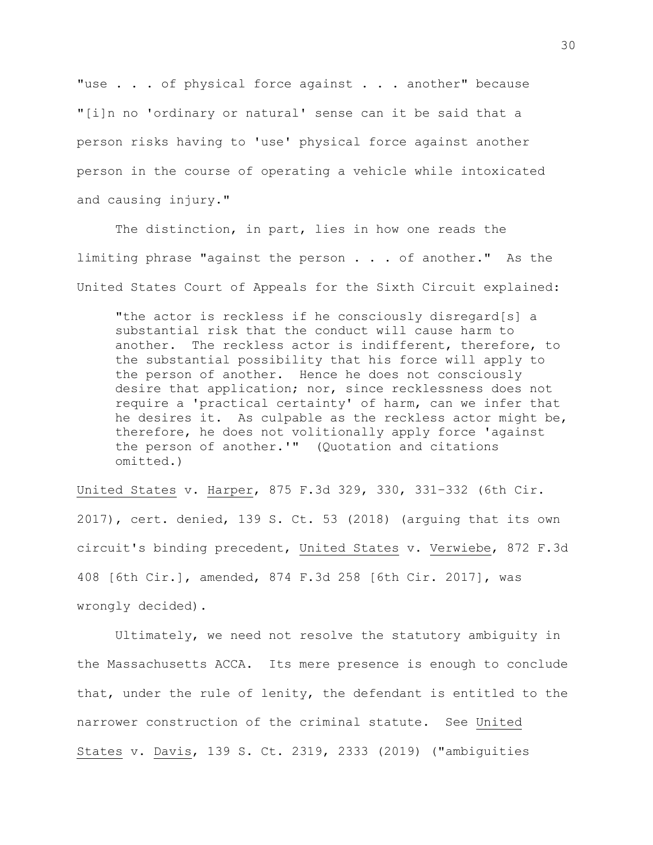"use . . . of physical force against . . . another" because "[i]n no 'ordinary or natural' sense can it be said that a person risks having to 'use' physical force against another person in the course of operating a vehicle while intoxicated and causing injury."

The distinction, in part, lies in how one reads the limiting phrase "against the person . . . of another." As the United States Court of Appeals for the Sixth Circuit explained:

"the actor is reckless if he consciously disregard[s] a substantial risk that the conduct will cause harm to another. The reckless actor is indifferent, therefore, to the substantial possibility that his force will apply to the person of another. Hence he does not consciously desire that application; nor, since recklessness does not require a 'practical certainty' of harm, can we infer that he desires it. As culpable as the reckless actor might be, therefore, he does not volitionally apply force 'against the person of another.'" (Quotation and citations omitted.)

United States v. Harper, 875 F.3d 329, 330, 331–332 (6th Cir. 2017), cert. denied, 139 S. Ct. 53 (2018) (arguing that its own circuit's binding precedent, United States v. Verwiebe, 872 F.3d 408 [6th Cir.], amended, 874 F.3d 258 [6th Cir. 2017], was wrongly decided).

Ultimately, we need not resolve the statutory ambiguity in the Massachusetts ACCA. Its mere presence is enough to conclude that, under the rule of lenity, the defendant is entitled to the narrower construction of the criminal statute. See United States v. Davis, 139 S. Ct. 2319, 2333 (2019) ("ambiguities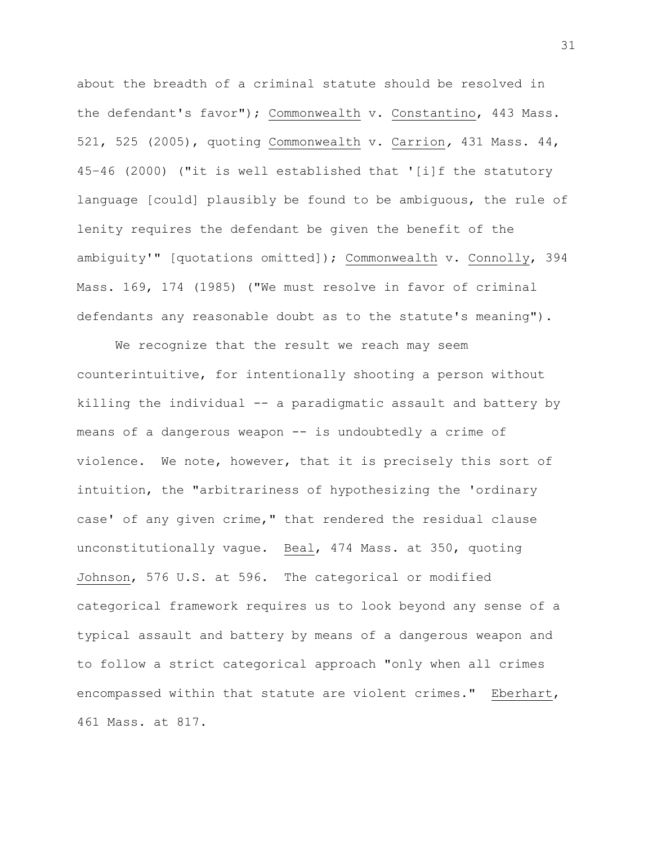about the breadth of a criminal statute should be resolved in the defendant's favor"); Commonwealth v. Constantino, 443 Mass. 521, 525 (2005), quoting Commonwealth v. Carrion*,* 431 Mass. 44, 45–46 (2000) ("it is well established that '[i]f the statutory language [could] plausibly be found to be ambiguous, the rule of lenity requires the defendant be given the benefit of the ambiguity'" [quotations omitted]); Commonwealth v. Connolly, 394 Mass. 169, 174 (1985) ("We must resolve in favor of criminal defendants any reasonable doubt as to the statute's meaning").

We recognize that the result we reach may seem counterintuitive, for intentionally shooting a person without killing the individual -- a paradigmatic assault and battery by means of a dangerous weapon -- is undoubtedly a crime of violence. We note, however, that it is precisely this sort of intuition, the "arbitrariness of hypothesizing the 'ordinary case' of any given crime," that rendered the residual clause unconstitutionally vague. Beal, 474 Mass. at 350, quoting Johnson, 576 U.S. at 596. The categorical or modified categorical framework requires us to look beyond any sense of a typical assault and battery by means of a dangerous weapon and to follow a strict categorical approach "only when all crimes encompassed within that statute are violent crimes." Eberhart, 461 Mass. at 817.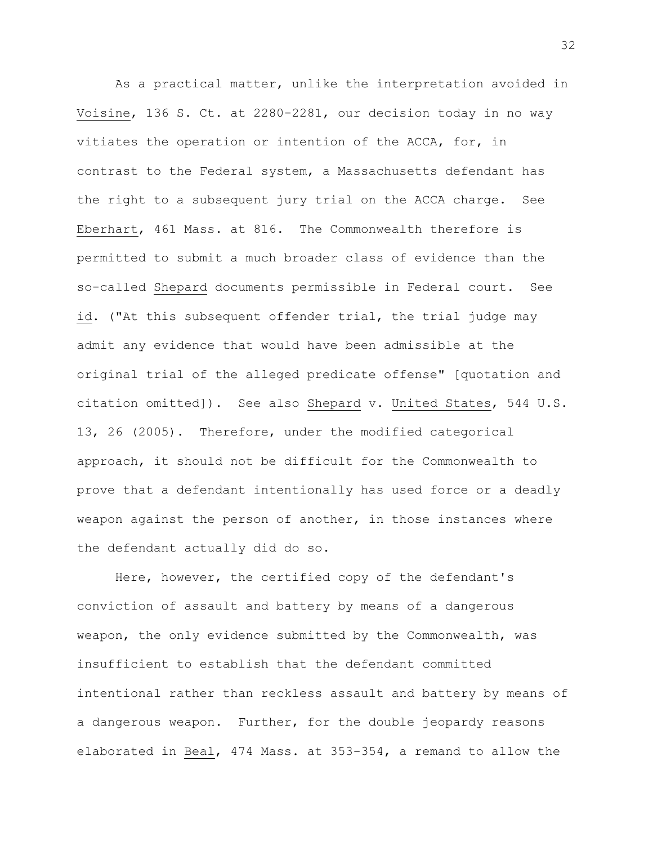As a practical matter, unlike the interpretation avoided in Voisine, 136 S. Ct. at 2280-2281, our decision today in no way vitiates the operation or intention of the ACCA, for, in contrast to the Federal system, a Massachusetts defendant has the right to a subsequent jury trial on the ACCA charge. See Eberhart, 461 Mass. at 816. The Commonwealth therefore is permitted to submit a much broader class of evidence than the so-called Shepard documents permissible in Federal court. See id. ("At this subsequent offender trial, the trial judge may admit any evidence that would have been admissible at the original trial of the alleged predicate offense" [quotation and citation omitted]). See also Shepard v. United States, 544 U.S. 13, 26 (2005). Therefore, under the modified categorical approach, it should not be difficult for the Commonwealth to prove that a defendant intentionally has used force or a deadly weapon against the person of another, in those instances where the defendant actually did do so.

Here, however, the certified copy of the defendant's conviction of assault and battery by means of a dangerous weapon, the only evidence submitted by the Commonwealth, was insufficient to establish that the defendant committed intentional rather than reckless assault and battery by means of a dangerous weapon. Further, for the double jeopardy reasons elaborated in Beal, 474 Mass. at 353-354, a remand to allow the